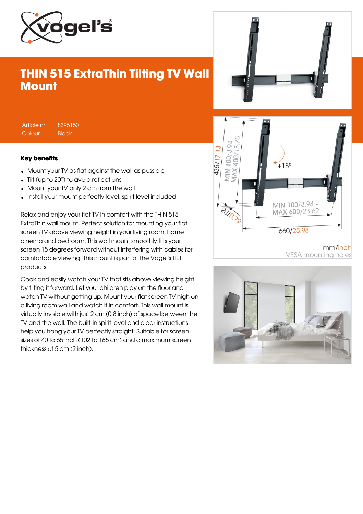

## THIN 515 ExtraThin Tilting TV Wall **Mount**

Article nr 8395150 Colour Black

#### Key benefits

- Mount your TV as flat against the wall as possible
- Tilt (up to 20°) to avoid reflections
- Mount your TV only 2 cm from the wall
- Install your mount perfectly level: spirit level included!

Relax and enjoy your flat TV in comfort with the THIN 515 ExtraThin wall mount. Perfect solution for mounting your flat screen TV above viewing height in your living room, home cinema and bedroom. This wall mount smoothly tilts your screen 15 degrees forward without interfering with cables for comfortable viewing. This mount is part of the Vogel's TILT products.

Cook and easily watch your TV that sits above viewing height by tilting it forward. Let your children play on the floor and watch TV without getting up. Mount your flat screen TV high on a living room wall and watch it in comfort. This wall mount is virtually invisible with just 2 cm (0.8 inch) of space between the TV and the wall. The built-in spirit level and clear instructions help you hang your TV perfectly straight. Suitable for screen sizes of 40 to 65 inch (102 to 165 cm) and a maximum screen thickness of 5 cm (2 inch).





**VESA mounting holes**